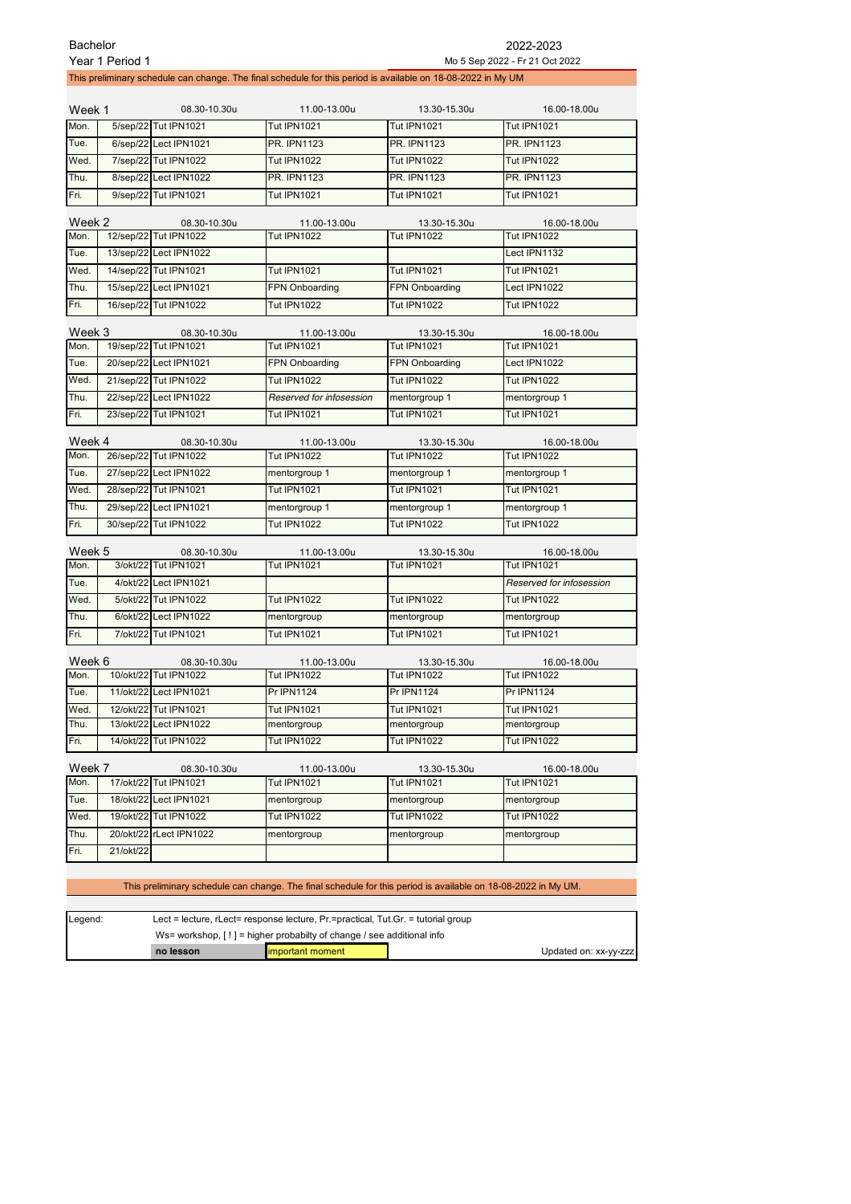| <b>Bachelor</b> |                 |                                      |                                                                                                               |                                    | 2022-2023                          |
|-----------------|-----------------|--------------------------------------|---------------------------------------------------------------------------------------------------------------|------------------------------------|------------------------------------|
|                 | Year 1 Period 1 |                                      |                                                                                                               |                                    | Mo 5 Sep 2022 - Fr 21 Oct 2022     |
|                 |                 |                                      | This preliminary schedule can change. The final schedule for this period is available on 18-08-2022 in My UM  |                                    |                                    |
| Week 1          |                 | 08.30-10.30u                         | 11.00-13.00u                                                                                                  | 13.30-15.30u                       | 16.00-18.00u                       |
| Mon.            |                 | 5/sep/22 Tut IPN1021                 | <b>Tut IPN1021</b>                                                                                            | <b>Tut IPN1021</b>                 | <b>Tut IPN1021</b>                 |
| Tue.            |                 | 6/sep/22 Lect IPN1021                | <b>PR. IPN1123</b>                                                                                            | <b>PR. IPN1123</b>                 | <b>PR. IPN1123</b>                 |
| Wed.            |                 | 7/sep/22 Tut IPN1022                 | <b>Tut IPN1022</b>                                                                                            | <b>Tut IPN1022</b>                 | <b>Tut IPN1022</b>                 |
| Thu.            |                 | 8/sep/22 Lect IPN1022                | <b>PR. IPN1123</b>                                                                                            | <b>PR. IPN1123</b>                 | <b>PR. IPN1123</b>                 |
| Fri.            |                 | 9/sep/22 Tut IPN1021                 | <b>Tut IPN1021</b>                                                                                            | <b>Tut IPN1021</b>                 | <b>Tut IPN1021</b>                 |
|                 |                 |                                      |                                                                                                               |                                    |                                    |
| Week 2          |                 | 08.30-10.30u                         | 11.00-13.00u                                                                                                  | 13.30-15.30u                       | 16.00-18.00u                       |
| Mon.            |                 | 12/sep/22 Tut IPN1022                | <b>Tut IPN1022</b>                                                                                            | <b>Tut IPN1022</b>                 | <b>Tut IPN1022</b>                 |
| Tue.            |                 | 13/sep/22 Lect IPN1022               |                                                                                                               |                                    | Lect IPN1132                       |
| Wed.            |                 | 14/sep/22 Tut IPN1021                | <b>Tut IPN1021</b>                                                                                            | <b>Tut IPN1021</b>                 | <b>Tut IPN1021</b>                 |
| Thu.            |                 | 15/sep/22 Lect IPN1021               | FPN Onboarding                                                                                                | FPN Onboarding                     | Lect IPN1022                       |
| Fri.            |                 | 16/sep/22 Tut IPN1022                | <b>Tut IPN1022</b>                                                                                            | <b>Tut IPN1022</b>                 | <b>Tut IPN1022</b>                 |
| Week 3          |                 | 08.30-10.30u                         | 11.00-13.00u                                                                                                  | 13.30-15.30u                       | 16.00-18.00u                       |
| Mon.            |                 | 19/sep/22 Tut IPN1021                | <b>Tut IPN1021</b>                                                                                            | <b>Tut IPN1021</b>                 | <b>Tut IPN1021</b>                 |
| Tue.            |                 | 20/sep/22 Lect IPN1021               | <b>FPN Onboarding</b>                                                                                         | FPN Onboarding                     | Lect IPN1022                       |
| Wed.            |                 | 21/sep/22 Tut IPN1022                | <b>Tut IPN1022</b>                                                                                            | <b>Tut IPN1022</b>                 | <b>Tut IPN1022</b>                 |
| Thu.            |                 | 22/sep/22 Lect IPN1022               | Reserved for infosession                                                                                      | mentorgroup 1                      | mentorgroup 1                      |
| Fri.            |                 | 23/sep/22 Tut IPN1021                | <b>Tut IPN1021</b>                                                                                            | <b>Tut IPN1021</b>                 | <b>Tut IPN1021</b>                 |
|                 |                 |                                      |                                                                                                               |                                    |                                    |
| Week 4          |                 | 08.30-10.30u                         | 11.00-13.00u                                                                                                  | 13.30-15.30u                       | 16.00-18.00u                       |
| Mon.            |                 | 26/sep/22 Tut IPN1022                | <b>Tut IPN1022</b>                                                                                            | <b>Tut IPN1022</b>                 | <b>Tut IPN1022</b>                 |
| Tue.            |                 | 27/sep/22 Lect IPN1022               | mentorgroup 1                                                                                                 | mentorgroup 1                      | mentorgroup 1                      |
| Wed.            |                 | 28/sep/22 Tut IPN1021                | <b>Tut IPN1021</b>                                                                                            | <b>Tut IPN1021</b>                 | <b>Tut IPN1021</b>                 |
| Thu.            |                 | 29/sep/22 Lect IPN1021               | mentorgroup 1                                                                                                 | mentorgroup 1                      | mentorgroup 1                      |
| Fri.            |                 | 30/sep/22 Tut IPN1022                | <b>Tut IPN1022</b>                                                                                            | <b>Tut IPN1022</b>                 | <b>Tut IPN1022</b>                 |
|                 |                 |                                      |                                                                                                               |                                    |                                    |
| Week 5<br>Mon.  |                 | 08.30-10.30u<br>3/okt/22 Tut IPN1021 | 11.00-13.00u<br><b>Tut IPN1021</b>                                                                            | 13.30-15.30u<br><b>Tut IPN1021</b> | 16.00-18.00u<br><b>Tut IPN1021</b> |
| Tue.            |                 | 4/okt/22 Lect IPN1021                |                                                                                                               |                                    | Reserved for infosession           |
| Wed.            |                 | 5/okt/22 Tut IPN1022                 | <b>Tut IPN1022</b>                                                                                            | <b>Tut IPN1022</b>                 | <b>Tut IPN1022</b>                 |
| Thu.            |                 | 6/okt/22 Lect IPN1022                | mentorgroup                                                                                                   | mentorgroup                        | mentorgroup                        |
| Fri.            |                 | 7/okt/22 Tut IPN1021                 | <b>Tut IPN1021</b>                                                                                            | <b>Tut IPN1021</b>                 | <b>Tut IPN1021</b>                 |
|                 |                 |                                      |                                                                                                               |                                    |                                    |
| Week 6          |                 | 08.30-10.30u                         | 11.00-13.00u                                                                                                  | 13.30-15.30u                       | 16.00-18.00u                       |
|                 |                 | Mon. 10/okt/22 Tut IPN1022           | Tut IPN1022                                                                                                   | Tut IPN1022                        | Tut IPN1022                        |
| Tue.            |                 | 11/okt/22 Lect IPN1021               | Pr IPN1124                                                                                                    | Pr IPN1124                         | <b>Pr IPN1124</b>                  |
| Wed.            | 12/okt/22       | <b>Tut IPN1021</b>                   | <b>Tut IPN1021</b>                                                                                            | <b>Tut IPN1021</b>                 | <b>Tut IPN1021</b>                 |
| Thu.            |                 | 13/okt/22 Lect IPN1022               | mentorgroup                                                                                                   | mentorgroup                        | mentorgroup                        |
| Fri.            |                 | 14/okt/22 Tut IPN1022                | <b>Tut IPN1022</b>                                                                                            | <b>Tut IPN1022</b>                 | <b>Tut IPN1022</b>                 |
| Week 7          |                 | 08.30-10.30u                         | 11.00-13.00u                                                                                                  | 13.30-15.30u                       | 16.00-18.00u                       |
| Mon.            |                 | 17/okt/22 Tut IPN1021                | <b>Tut IPN1021</b>                                                                                            | <b>Tut IPN1021</b>                 | <b>Tut IPN1021</b>                 |
| Tue.            |                 | 18/okt/22 Lect IPN1021               | mentorgroup                                                                                                   | mentorgroup                        | mentorgroup                        |
| Wed.            |                 | 19/okt/22 Tut IPN1022                | <b>Tut IPN1022</b>                                                                                            | <b>Tut IPN1022</b>                 | <b>Tut IPN1022</b>                 |
| Thu.            |                 | 20/okt/22 rLect IPN1022              | mentorgroup                                                                                                   | mentorgroup                        | mentorgroup                        |
| Fri.            | 21/okt/22       |                                      |                                                                                                               |                                    |                                    |
|                 |                 |                                      |                                                                                                               |                                    |                                    |
|                 |                 |                                      | This preliminary schedule can change. The final schedule for this period is available on 18-08-2022 in My UM. |                                    |                                    |
|                 |                 |                                      |                                                                                                               |                                    |                                    |
|                 |                 |                                      |                                                                                                               |                                    |                                    |

| Legend: | Lect = lecture, $r$ Lect= response lecture, $Pr$ =practical, $T$ ut. Gr. = tutorial group |                   |                       |  |  |
|---------|-------------------------------------------------------------------------------------------|-------------------|-----------------------|--|--|
|         | Ws= workshop, $[!]$ = higher probabilty of change / see additional info                   |                   |                       |  |  |
|         | no lesson                                                                                 | limportant moment | Updated on: xx-yy-zzz |  |  |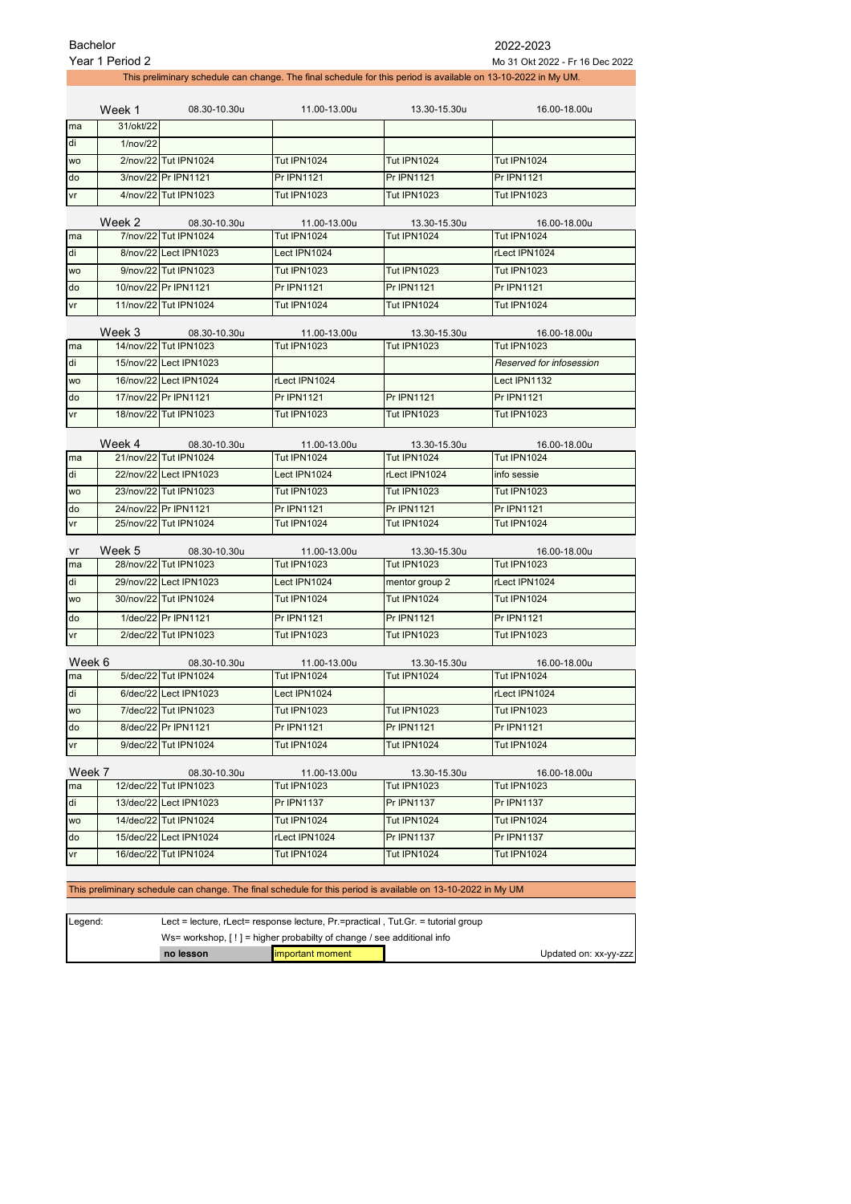|           | <b>Bachelor</b><br>2022-2023                                                                                                                                        |                        |                    |                    |                          |  |  |
|-----------|---------------------------------------------------------------------------------------------------------------------------------------------------------------------|------------------------|--------------------|--------------------|--------------------------|--|--|
|           | Year 1 Period 2<br>Mo 31 Okt 2022 - Fr 16 Dec 2022<br>This preliminary schedule can change. The final schedule for this period is available on 13-10-2022 in My UM. |                        |                    |                    |                          |  |  |
|           |                                                                                                                                                                     |                        |                    |                    |                          |  |  |
|           | Week 1                                                                                                                                                              | 08.30-10.30u           | 11.00-13.00u       | 13.30-15.30u       | 16.00-18.00u             |  |  |
| ma        | 31/okt/22                                                                                                                                                           |                        |                    |                    |                          |  |  |
| di        | 1/nov/22                                                                                                                                                            |                        |                    |                    |                          |  |  |
| <b>WO</b> |                                                                                                                                                                     | 2/nov/22 Tut IPN1024   | <b>Tut IPN1024</b> | <b>Tut IPN1024</b> | Tut IPN1024              |  |  |
| do        |                                                                                                                                                                     | 3/nov/22 Pr IPN1121    | <b>Pr IPN1121</b>  | <b>Pr IPN1121</b>  | <b>Pr IPN1121</b>        |  |  |
| vr        |                                                                                                                                                                     | 4/nov/22 Tut IPN1023   | <b>Tut IPN1023</b> | <b>Tut IPN1023</b> | <b>Tut IPN1023</b>       |  |  |
|           | Week 2                                                                                                                                                              | 08.30-10.30u           | 11.00-13.00u       | 13.30-15.30u       | 16.00-18.00u             |  |  |
| ma        |                                                                                                                                                                     | 7/nov/22 Tut IPN1024   | <b>Tut IPN1024</b> | <b>Tut IPN1024</b> | <b>Tut IPN1024</b>       |  |  |
| di        |                                                                                                                                                                     | 8/nov/22 Lect IPN1023  | Lect IPN1024       |                    | rLect IPN1024            |  |  |
| <b>WO</b> |                                                                                                                                                                     | 9/nov/22 Tut IPN1023   | <b>Tut IPN1023</b> | <b>Tut IPN1023</b> | <b>Tut IPN1023</b>       |  |  |
| do        |                                                                                                                                                                     | 10/nov/22 Pr IPN1121   | Pr IPN1121         | <b>Pr IPN1121</b>  | Pr IPN1121               |  |  |
| vr        |                                                                                                                                                                     | 11/nov/22 Tut IPN1024  | <b>Tut IPN1024</b> | <b>Tut IPN1024</b> | <b>Tut IPN1024</b>       |  |  |
|           | Week 3                                                                                                                                                              | 08.30-10.30u           | 11.00-13.00u       | 13.30-15.30u       | 16.00-18.00u             |  |  |
| ma        |                                                                                                                                                                     | 14/nov/22 Tut IPN1023  | <b>Tut IPN1023</b> | <b>Tut IPN1023</b> | <b>Tut IPN1023</b>       |  |  |
| di        |                                                                                                                                                                     | 15/nov/22 Lect IPN1023 |                    |                    | Reserved for infosession |  |  |
| <b>WO</b> |                                                                                                                                                                     | 16/nov/22 Lect IPN1024 | rLect IPN1024      |                    | Lect IPN1132             |  |  |
| do        |                                                                                                                                                                     | 17/nov/22 Pr IPN1121   | Pr IPN1121         | <b>Pr IPN1121</b>  | <b>Pr IPN1121</b>        |  |  |
| vr        |                                                                                                                                                                     | 18/nov/22 Tut IPN1023  | <b>Tut IPN1023</b> | <b>Tut IPN1023</b> | <b>Tut IPN1023</b>       |  |  |
|           | Week 4                                                                                                                                                              | 08.30-10.30u           | 11.00-13.00u       | 13.30-15.30u       | 16.00-18.00u             |  |  |
| ma        |                                                                                                                                                                     | 21/nov/22 Tut IPN1024  | <b>Tut IPN1024</b> | <b>Tut IPN1024</b> | <b>Tut IPN1024</b>       |  |  |
| di        |                                                                                                                                                                     | 22/nov/22 Lect IPN1023 | Lect IPN1024       | rLect IPN1024      | info sessie              |  |  |
| <b>WO</b> |                                                                                                                                                                     | 23/nov/22 Tut IPN1023  | <b>Tut IPN1023</b> | <b>Tut IPN1023</b> | <b>Tut IPN1023</b>       |  |  |
| do        |                                                                                                                                                                     | 24/nov/22 Pr IPN1121   | Pr IPN1121         | <b>Pr IPN1121</b>  | Pr IPN1121               |  |  |
| vr        |                                                                                                                                                                     | 25/nov/22 Tut IPN1024  | Tut IPN1024        | <b>Tut IPN1024</b> | <b>Tut IPN1024</b>       |  |  |
| vr        | Week 5                                                                                                                                                              | 08.30-10.30u           | 11.00-13.00u       | 13.30-15.30u       | 16.00-18.00u             |  |  |
| ma        |                                                                                                                                                                     | 28/nov/22 Tut IPN1023  | <b>Tut IPN1023</b> | <b>Tut IPN1023</b> | <b>Tut IPN1023</b>       |  |  |
| di        |                                                                                                                                                                     | 29/nov/22 Lect IPN1023 | Lect IPN1024       | mentor group 2     | rLect IPN1024            |  |  |
| <b>WO</b> |                                                                                                                                                                     | 30/nov/22 Tut IPN1024  | <b>Tut IPN1024</b> | <b>Tut IPN1024</b> | <b>Tut IPN1024</b>       |  |  |
| do        |                                                                                                                                                                     | 1/dec/22 Pr IPN1121    | Pr IPN1121         | <b>Pr IPN1121</b>  | Pr IPN1121               |  |  |
| vr        |                                                                                                                                                                     | 2/dec/22 Tut IPN1023   | <b>Tut IPN1023</b> | <b>Tut IPN1023</b> | <b>Tut IPN1023</b>       |  |  |
| Week 6    |                                                                                                                                                                     | 08.30-10.30u           | 11.00-13.00u       | 13.30-15.30u       | 16.00-18.00u             |  |  |
| ma        |                                                                                                                                                                     | 5/dec/22 Tut IPN1024   | <b>Tut IPN1024</b> | Tut IPN1024        | Tut IPN1024              |  |  |
| di        |                                                                                                                                                                     | 6/dec/22 Lect IPN1023  | Lect IPN1024       |                    | rLect IPN1024            |  |  |
| WO        |                                                                                                                                                                     | 7/dec/22 Tut IPN1023   | <b>Tut IPN1023</b> | <b>Tut IPN1023</b> | <b>Tut IPN1023</b>       |  |  |
| do        |                                                                                                                                                                     | 8/dec/22 Pr IPN1121    | <b>Pr IPN1121</b>  | <b>Pr IPN1121</b>  | <b>Pr IPN1121</b>        |  |  |
| vr        |                                                                                                                                                                     | 9/dec/22 Tut IPN1024   | <b>Tut IPN1024</b> | <b>Tut IPN1024</b> | <b>Tut IPN1024</b>       |  |  |
|           |                                                                                                                                                                     |                        |                    |                    |                          |  |  |
| Week 7    |                                                                                                                                                                     | 08.30-10.30u           | 11.00-13.00u       | 13.30-15.30u       | 16.00-18.00u             |  |  |
| ma        |                                                                                                                                                                     | 12/dec/22 Tut IPN1023  | <b>Tut IPN1023</b> | <b>Tut IPN1023</b> | <b>Tut IPN1023</b>       |  |  |
| di        |                                                                                                                                                                     | 13/dec/22 Lect IPN1023 | Pr IPN1137         | <b>Pr IPN1137</b>  | Pr IPN1137               |  |  |
| WO        |                                                                                                                                                                     | 14/dec/22 Tut IPN1024  | <b>Tut IPN1024</b> | <b>Tut IPN1024</b> | <b>Tut IPN1024</b>       |  |  |
| do        |                                                                                                                                                                     | 15/dec/22 Lect IPN1024 | rLect IPN1024      | <b>Pr IPN1137</b>  | Pr IPN1137               |  |  |
| vr        |                                                                                                                                                                     | 16/dec/22 Tut IPN1024  | <b>Tut IPN1024</b> | <b>Tut IPN1024</b> | <b>Tut IPN1024</b>       |  |  |
|           | This preliminary schedule can change. The final schedule for this period is available on 13-10-2022 in My UM                                                        |                        |                    |                    |                          |  |  |

| Legend: | Lect = lecture, rLect= response lecture, $Pr =$ practical, Tut. Gr. = tutorial group |                          |  |                       |  |
|---------|--------------------------------------------------------------------------------------|--------------------------|--|-----------------------|--|
|         | Ws= workshop, $[!]$ = higher probabilty of change / see additional info              |                          |  |                       |  |
|         | no lesson                                                                            | <b>limportant moment</b> |  | Updated on: xx-yy-zzz |  |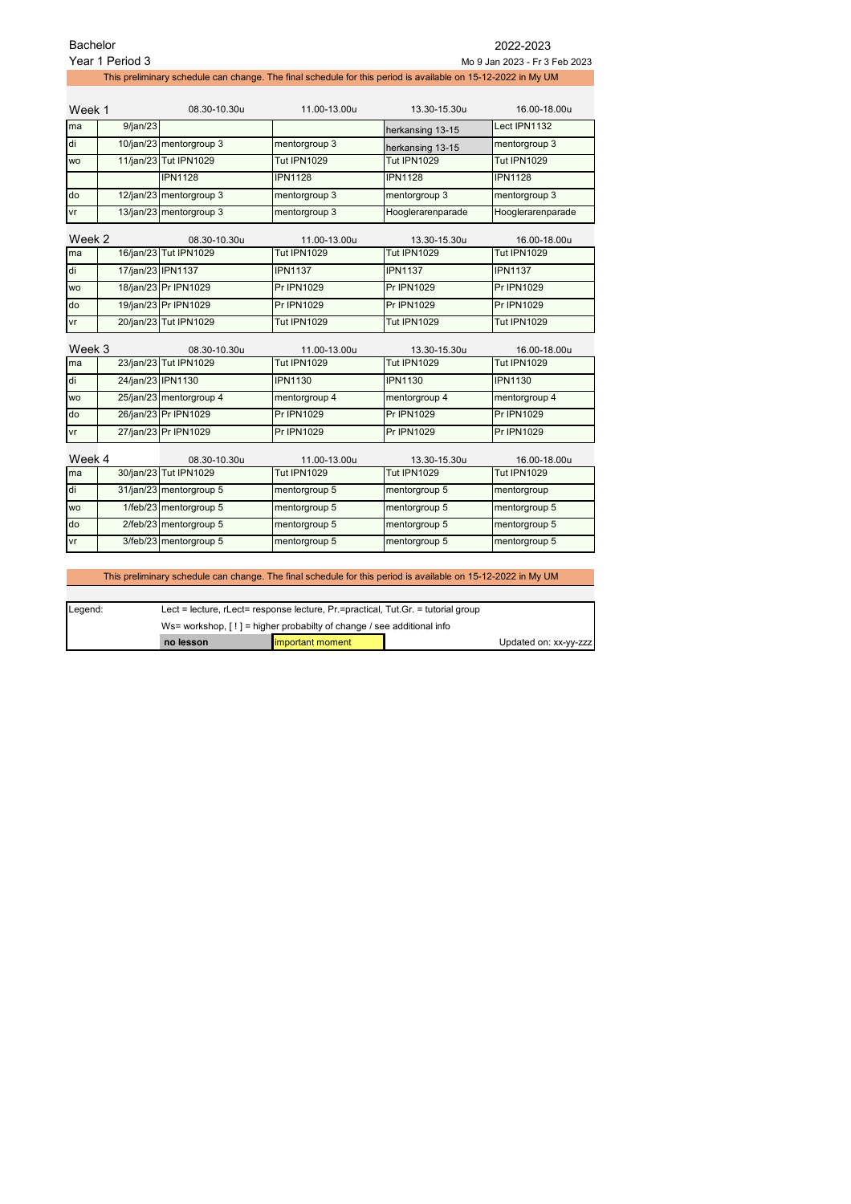|           | Bachelor<br>2022-2023                            |                         |                    |                                                                                                              |                    |  |  |
|-----------|--------------------------------------------------|-------------------------|--------------------|--------------------------------------------------------------------------------------------------------------|--------------------|--|--|
|           | Year 1 Period 3<br>Mo 9 Jan 2023 - Fr 3 Feb 2023 |                         |                    |                                                                                                              |                    |  |  |
|           |                                                  |                         |                    | This preliminary schedule can change. The final schedule for this period is available on 15-12-2022 in My UM |                    |  |  |
|           |                                                  |                         |                    |                                                                                                              |                    |  |  |
| Week 1    |                                                  | 08.30-10.30u            | 11.00-13.00u       | 13.30-15.30u                                                                                                 | 16.00-18.00u       |  |  |
| ma        | 9/ian/23                                         |                         |                    | herkansing 13-15                                                                                             | Lect IPN1132       |  |  |
| di        |                                                  | 10/jan/23 mentorgroup 3 | mentorgroup 3      | herkansing 13-15                                                                                             | mentorgroup 3      |  |  |
| <b>WO</b> |                                                  | 11/jan/23 Tut IPN1029   | <b>Tut IPN1029</b> | <b>Tut IPN1029</b>                                                                                           | <b>Tut IPN1029</b> |  |  |
|           |                                                  | <b>IPN1128</b>          | <b>IPN1128</b>     | <b>IPN1128</b>                                                                                               | <b>IPN1128</b>     |  |  |
| do        |                                                  | 12/jan/23 mentorgroup 3 | mentorgroup 3      | mentorgroup 3                                                                                                | mentorgroup 3      |  |  |
| vr        |                                                  | 13/jan/23 mentorgroup 3 | mentorgroup 3      | Hooglerarenparade                                                                                            | Hooglerarenparade  |  |  |
| Week 2    |                                                  | 08.30-10.30u            | 11.00-13.00u       | 13.30-15.30u                                                                                                 | 16.00-18.00u       |  |  |
| ma        |                                                  | 16/jan/23 Tut IPN1029   | Tut IPN1029        | Tut IPN1029                                                                                                  | Tut IPN1029        |  |  |
| di        | 17/jan/23 IPN1137                                |                         | <b>IPN1137</b>     | <b>IPN1137</b>                                                                                               | <b>IPN1137</b>     |  |  |
| <b>WO</b> |                                                  | 18/jan/23 Pr IPN1029    | Pr IPN1029         | Pr IPN1029                                                                                                   | <b>Pr IPN1029</b>  |  |  |
| do        |                                                  | 19/jan/23 Pr IPN1029    | <b>Pr IPN1029</b>  | <b>Pr IPN1029</b>                                                                                            | <b>Pr IPN1029</b>  |  |  |
| vr        |                                                  | 20/jan/23 Tut IPN1029   | <b>Tut IPN1029</b> | <b>Tut IPN1029</b>                                                                                           | <b>Tut IPN1029</b> |  |  |
| Week 3    |                                                  | 08.30-10.30u            | 11.00-13.00u       | 13.30-15.30u                                                                                                 | 16.00-18.00u       |  |  |
| ma        |                                                  | 23/jan/23 Tut IPN1029   | <b>Tut IPN1029</b> | <b>Tut IPN1029</b>                                                                                           | <b>Tut IPN1029</b> |  |  |
| di        | 24/jan/23 IPN1130                                |                         | <b>IPN1130</b>     | <b>IPN1130</b>                                                                                               | <b>IPN1130</b>     |  |  |
| <b>WO</b> |                                                  | 25/jan/23 mentorgroup 4 | mentorgroup 4      | mentorgroup 4                                                                                                | mentorgroup 4      |  |  |
| do        |                                                  | 26/jan/23 Pr IPN1029    | <b>Pr IPN1029</b>  | <b>Pr IPN1029</b>                                                                                            | <b>Pr IPN1029</b>  |  |  |
| vr        |                                                  | 27/jan/23 Pr IPN1029    | Pr IPN1029         | <b>Pr IPN1029</b>                                                                                            | <b>Pr IPN1029</b>  |  |  |
| Week 4    |                                                  | 08.30-10.30u            | 11.00-13.00u       | 13.30-15.30u                                                                                                 | 16.00-18.00u       |  |  |
| ma        |                                                  | 30/jan/23 Tut IPN1029   | <b>Tut IPN1029</b> | <b>Tut IPN1029</b>                                                                                           | <b>Tut IPN1029</b> |  |  |
| di        |                                                  | 31/jan/23 mentorgroup 5 | mentorgroup 5      | mentorgroup 5                                                                                                | mentorgroup        |  |  |
| <b>WO</b> |                                                  | 1/feb/23 mentorgroup 5  | mentorgroup 5      | mentorgroup 5                                                                                                | mentorgroup 5      |  |  |
| do        |                                                  | 2/feb/23 mentorgroup 5  | mentorgroup 5      | mentorgroup 5                                                                                                | mentorgroup 5      |  |  |
| ٧r        |                                                  | 3/feb/23 mentorgroup 5  | mentorgroup 5      | mentorgroup 5                                                                                                | mentorgroup 5      |  |  |
|           |                                                  |                         |                    |                                                                                                              |                    |  |  |

This preliminary schedule can change. The final schedule for this period is available on 15-12-2022 in My UM

| Legend: | Lect = lecture, rLect= response lecture, $Pr =$ practical, Tut.Gr. = tutorial group |                          |  |                       |
|---------|-------------------------------------------------------------------------------------|--------------------------|--|-----------------------|
|         | Ws= workshop, $[!]$ = higher probabilty of change / see additional info             |                          |  |                       |
|         | no lesson                                                                           | <b>limportant moment</b> |  | Updated on: xx-yy-zzz |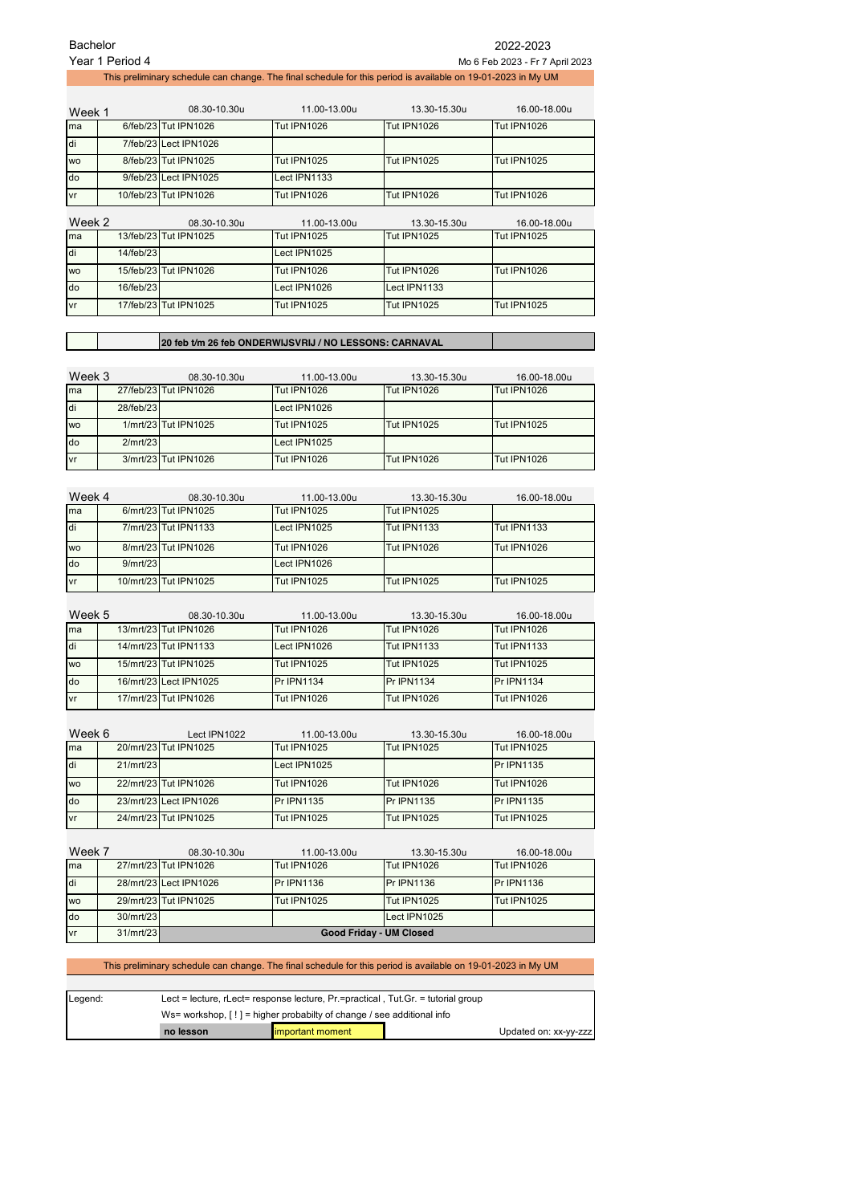| Bachelor<br>2022-2023 |                                                    |                       |                    |                                                                                                              |                    |  |  |  |
|-----------------------|----------------------------------------------------|-----------------------|--------------------|--------------------------------------------------------------------------------------------------------------|--------------------|--|--|--|
|                       | Year 1 Period 4<br>Mo 6 Feb 2023 - Fr 7 April 2023 |                       |                    |                                                                                                              |                    |  |  |  |
|                       |                                                    |                       |                    | This preliminary schedule can change. The final schedule for this period is available on 19-01-2023 in My UM |                    |  |  |  |
|                       |                                                    |                       |                    |                                                                                                              |                    |  |  |  |
| Week 1                |                                                    | 08.30-10.30u          | 11.00-13.00u       | 13.30-15.30u                                                                                                 | 16.00-18.00u       |  |  |  |
| ma                    |                                                    | 6/feb/23 Tut IPN1026  | <b>Tut IPN1026</b> | <b>Tut IPN1026</b>                                                                                           | <b>Tut IPN1026</b> |  |  |  |
| di                    |                                                    | 7/feb/23 Lect IPN1026 |                    |                                                                                                              |                    |  |  |  |
| <b>WO</b>             |                                                    | 8/feb/23 Tut IPN1025  | <b>Tut IPN1025</b> | <b>Tut IPN1025</b>                                                                                           | <b>Tut IPN1025</b> |  |  |  |
| do                    |                                                    | 9/feb/23 Lect IPN1025 | Lect IPN1133       |                                                                                                              |                    |  |  |  |
| vr                    |                                                    | 10/feb/23 Tut IPN1026 | <b>Tut IPN1026</b> | <b>Tut IPN1026</b>                                                                                           | <b>Tut IPN1026</b> |  |  |  |
| Week 2                |                                                    | 08.30-10.30u          | 11.00-13.00u       | 13.30-15.30u                                                                                                 | 16.00-18.00u       |  |  |  |
| ma                    |                                                    | 13/feb/23 Tut IPN1025 | <b>Tut IPN1025</b> | <b>Tut IPN1025</b>                                                                                           | <b>Tut IPN1025</b> |  |  |  |
| di                    | 14/feb/23                                          |                       | Lect IPN1025       |                                                                                                              |                    |  |  |  |
| <b>WO</b>             |                                                    | 15/feb/23 Tut IPN1026 | <b>Tut IPN1026</b> | <b>Tut IPN1026</b>                                                                                           | <b>Tut IPN1026</b> |  |  |  |
| do                    | 16/feb/23                                          |                       | Lect IPN1026       | Lect IPN1133                                                                                                 |                    |  |  |  |
| vr                    |                                                    | 17/feb/23 Tut IPN1025 | <b>Tut IPN1025</b> | <b>Tut IPN1025</b>                                                                                           | <b>Tut IPN1025</b> |  |  |  |
|                       |                                                    |                       |                    |                                                                                                              |                    |  |  |  |

## **20 feb t/m 26 feb ONDERWIJSVRIJ / NO LESSONS: CARNAVAL**

| Week 3    |           | 08.30-10.30u          | 11.00-13.00u       | 13.30-15.30u       | 16.00-18.00u       |
|-----------|-----------|-----------------------|--------------------|--------------------|--------------------|
| Ima       |           | 27/feb/23 Tut IPN1026 | <b>Tut IPN1026</b> | <b>Tut IPN1026</b> | <b>Tut IPN1026</b> |
| ldi       | 28/feb/23 |                       | Lect IPN1026       |                    |                    |
| <b>WO</b> |           | 1/mrt/23 Tut IPN1025  | <b>Tut IPN1025</b> | <b>Tut IPN1025</b> | <b>Tut IPN1025</b> |
| do        | 2/mrt/23  |                       | Lect IPN1025       |                    |                    |
| vr        |           | 3/mrt/23 Tut IPN1026  | <b>Tut IPN1026</b> | <b>Tut IPN1026</b> | <b>Tut IPN1026</b> |

| Week 4    |          | 08.30-10.30u          | 11.00-13.00u       | 13.30-15.30u       | 16.00-18.00u       |
|-----------|----------|-----------------------|--------------------|--------------------|--------------------|
| ma        |          | 6/mrt/23 Tut IPN1025  | <b>Tut IPN1025</b> | <b>Tut IPN1025</b> |                    |
| ldi       |          | 7/mrt/23 Tut IPN1133  | Lect IPN1025       | <b>Tut IPN1133</b> | <b>Tut IPN1133</b> |
| <b>WO</b> |          | 8/mrt/23 Tut IPN1026  | <b>Tut IPN1026</b> | <b>Tut IPN1026</b> | <b>Tut IPN1026</b> |
| do        | 9/mrt/23 |                       | Lect IPN1026       |                    |                    |
| vr        |          | 10/mrt/23 Tut IPN1025 | <b>Tut IPN1025</b> | <b>Tut IPN1025</b> | <b>Tut IPN1025</b> |

| Week 5    | 08.30-10.30u           | 11.00-13.00u       | 13.30-15.30u       | 16.00-18.00u       |
|-----------|------------------------|--------------------|--------------------|--------------------|
| ma        | 13/mrt/23 Tut IPN1026  | <b>Tut IPN1026</b> | <b>Tut IPN1026</b> | <b>Tut IPN1026</b> |
| di        | 14/mrt/23 Tut IPN1133  | Lect IPN1026       | <b>Tut IPN1133</b> | <b>Tut IPN1133</b> |
| <b>WO</b> | 15/mrt/23 Tut IPN1025  | <b>Tut IPN1025</b> | <b>Tut IPN1025</b> | Tut IPN1025        |
| do        | 16/mrt/23 Lect IPN1025 | <b>Pr IPN1134</b>  | <b>Pr IPN1134</b>  | <b>Pr IPN1134</b>  |
| vr        | 17/mrt/23 Tut IPN1026  | <b>Tut IPN1026</b> | <b>Tut IPN1026</b> | Tut IPN1026        |

| Week 6    |           | Lect IPN1022           | 11.00-13.00u       | 13.30-15.30u       | 16.00-18.00u       |
|-----------|-----------|------------------------|--------------------|--------------------|--------------------|
| ma        |           | 20/mrt/23 Tut IPN1025  | <b>Tut IPN1025</b> | <b>Tut IPN1025</b> | <b>Tut IPN1025</b> |
| di        | 21/mrt/23 |                        | Lect IPN1025       |                    | Pr IPN1135         |
| <b>WO</b> |           | 22/mrt/23 Tut IPN1026  | <b>Tut IPN1026</b> | <b>Tut IPN1026</b> | <b>Tut IPN1026</b> |
| do        |           | 23/mrt/23 Lect IPN1026 | <b>Pr IPN1135</b>  | Pr IPN1135         | Pr IPN1135         |
| vr        |           | 24/mrt/23 Tut IPN1025  | <b>Tut IPN1025</b> | <b>Tut IPN1025</b> | <b>Tut IPN1025</b> |

| Week 7    |           | 08.30-10.30u                   | 11.00-13.00u       | 13.30-15.30u       | 16.00-18.00u       |
|-----------|-----------|--------------------------------|--------------------|--------------------|--------------------|
| ma        |           | 27/mrt/23 Tut IPN1026          | <b>Tut IPN1026</b> | <b>Tut IPN1026</b> | Tut IPN1026        |
| di        |           | 28/mrt/23 Lect IPN1026         | Pr IPN1136         | <b>Pr IPN1136</b>  | Pr IPN1136         |
| <b>WO</b> |           | 29/mrt/23 Tut IPN1025          | <b>Tut IPN1025</b> | <b>Tut IPN1025</b> | <b>Tut IPN1025</b> |
| do        | 30/mrt/23 |                                |                    | Lect IPN1025       |                    |
| vr        | 31/mrt/23 | <b>Good Friday - UM Closed</b> |                    |                    |                    |

## This preliminary schedule can change. The final schedule for this period is available on 19-01-2023 in My UM

| Legend: | Lect = lecture, rLect= response lecture, $Pr =$ practical, Tut.Gr. = tutorial group |                   |  |                       |
|---------|-------------------------------------------------------------------------------------|-------------------|--|-----------------------|
|         | Ws= workshop, $[!]$ = higher probabilty of change / see additional info             |                   |  |                       |
|         | no lesson                                                                           | limportant moment |  | Updated on: xx-yy-zzz |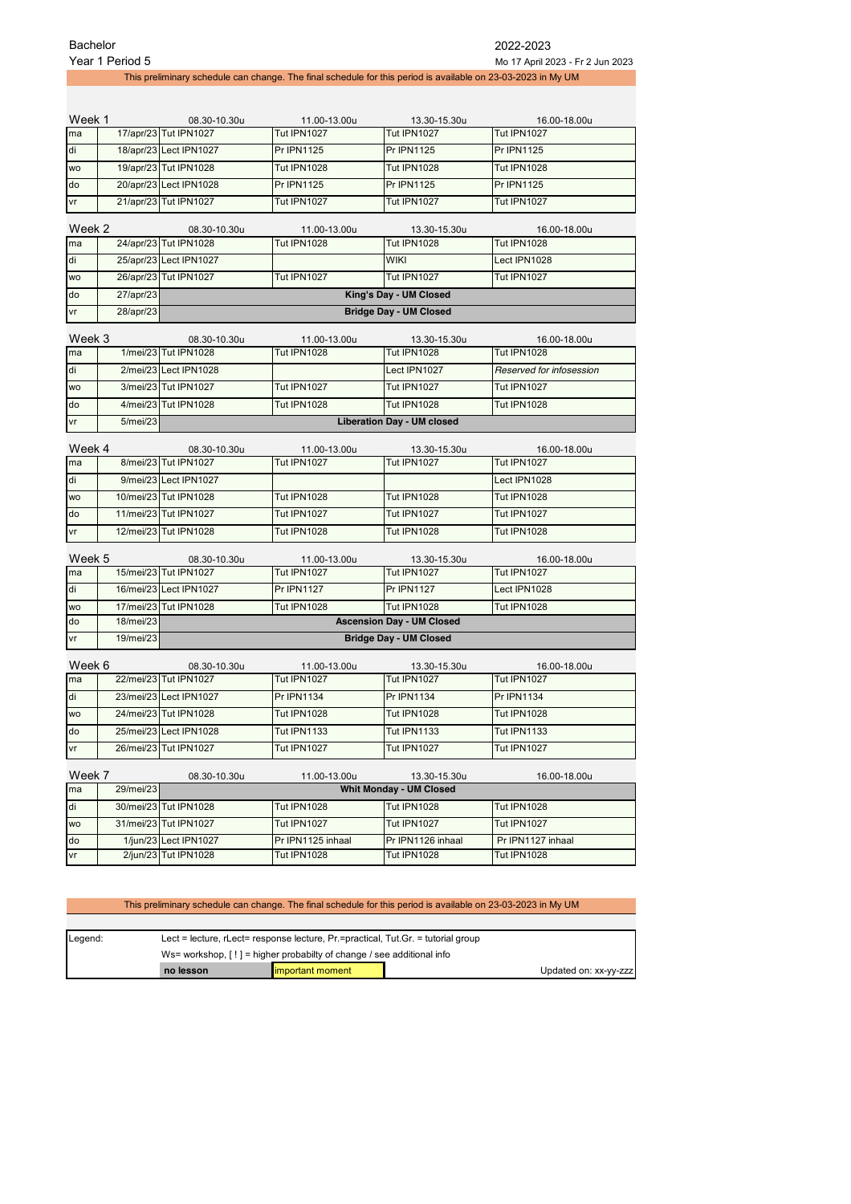|                                                        | Year 1 Period 5 |                                                         |                                                                                                              |                                         | Mo 17 April 2023 - Fr 2 Jun 2023 |
|--------------------------------------------------------|-----------------|---------------------------------------------------------|--------------------------------------------------------------------------------------------------------------|-----------------------------------------|----------------------------------|
|                                                        |                 |                                                         | This preliminary schedule can change. The final schedule for this period is available on 23-03-2023 in My UM |                                         |                                  |
|                                                        |                 |                                                         |                                                                                                              |                                         |                                  |
|                                                        |                 |                                                         |                                                                                                              |                                         |                                  |
| Week 1                                                 |                 | 08.30-10.30u                                            | 11.00-13.00u<br><b>Tut IPN1027</b>                                                                           | 13.30-15.30u<br><b>Tut IPN1027</b>      | 16.00-18.00u<br>Tut IPN1027      |
| ma                                                     |                 | 17/apr/23 Tut IPN1027                                   |                                                                                                              |                                         |                                  |
| di                                                     |                 | 18/apr/23 Lect IPN1027                                  | <b>Pr IPN1125</b>                                                                                            | <b>Pr IPN1125</b>                       | <b>Pr IPN1125</b>                |
| <b>WO</b>                                              |                 | 19/apr/23 Tut IPN1028                                   | <b>Tut IPN1028</b>                                                                                           | <b>Tut IPN1028</b>                      | <b>Tut IPN1028</b>               |
| do                                                     |                 | 20/apr/23 Lect IPN1028                                  | <b>Pr IPN1125</b>                                                                                            | <b>Pr IPN1125</b>                       | <b>Pr IPN1125</b>                |
| vr                                                     |                 | 21/apr/23 Tut IPN1027                                   | <b>Tut IPN1027</b>                                                                                           | <b>Tut IPN1027</b>                      | Tut IPN1027                      |
| Week 2<br>08.30-10.30u<br>11.00-13.00u<br>13.30-15.30u |                 |                                                         |                                                                                                              |                                         | 16.00-18.00u                     |
| ma                                                     |                 | 24/apr/23 Tut IPN1028                                   | <b>Tut IPN1028</b>                                                                                           | <b>Tut IPN1028</b>                      | <b>Tut IPN1028</b>               |
| di                                                     |                 | 25/apr/23 Lect IPN1027                                  |                                                                                                              | <b>WIKI</b>                             | Lect IPN1028                     |
| WO                                                     |                 | 26/apr/23 Tut IPN1027                                   | <b>Tut IPN1027</b>                                                                                           | <b>Tut IPN1027</b>                      | <b>Tut IPN1027</b>               |
| do                                                     | 27/apr/23       |                                                         |                                                                                                              |                                         |                                  |
| vr                                                     | 28/apr/23       | King's Day - UM Closed<br><b>Bridge Day - UM Closed</b> |                                                                                                              |                                         |                                  |
|                                                        |                 |                                                         |                                                                                                              |                                         |                                  |
| Week 3                                                 |                 | 08.30-10.30u                                            | 11.00-13.00u                                                                                                 | 13.30-15.30u                            | 16.00-18.00u                     |
| ma                                                     |                 | 1/mei/23 Tut IPN1028                                    | <b>Tut IPN1028</b>                                                                                           | <b>Tut IPN1028</b>                      | <b>Tut IPN1028</b>               |
| di                                                     |                 | 2/mei/23 Lect IPN1028                                   |                                                                                                              | Lect IPN1027                            | Reserved for infosession         |
| WO                                                     |                 | 3/mei/23 Tut IPN1027                                    | <b>Tut IPN1027</b>                                                                                           | Tut IPN1027                             | Tut IPN1027                      |
| do                                                     |                 | 4/mei/23 Tut IPN1028                                    | <b>Tut IPN1028</b>                                                                                           | <b>Tut IPN1028</b>                      | <b>Tut IPN1028</b>               |
| vr                                                     | 5/mei/23        |                                                         |                                                                                                              | <b>Liberation Day - UM closed</b>       |                                  |
|                                                        |                 |                                                         |                                                                                                              |                                         |                                  |
| Week 4                                                 |                 | 08.30-10.30u                                            | 11.00-13.00u<br><b>Tut IPN1027</b>                                                                           | 13.30-15.30u<br><b>Tut IPN1027</b>      | 16.00-18.00u<br>Tut IPN1027      |
| ma                                                     |                 | 8/mei/23 Tut IPN1027                                    |                                                                                                              |                                         |                                  |
| di                                                     |                 | 9/mei/23 Lect IPN1027                                   |                                                                                                              |                                         | Lect IPN1028                     |
| <b>WO</b>                                              |                 | 10/mei/23 Tut IPN1028                                   | <b>Tut IPN1028</b>                                                                                           | <b>Tut IPN1028</b>                      | <b>Tut IPN1028</b>               |
| do                                                     |                 | 11/mei/23 Tut IPN1027                                   | <b>Tut IPN1027</b>                                                                                           | <b>Tut IPN1027</b>                      | <b>Tut IPN1027</b>               |
| vr                                                     |                 | 12/mei/23 Tut IPN1028                                   | <b>Tut IPN1028</b>                                                                                           | <b>Tut IPN1028</b>                      | <b>Tut IPN1028</b>               |
| Week 5                                                 |                 | 08.30-10.30u                                            | 11.00-13.00u                                                                                                 | 13.30-15.30u                            | 16.00-18.00u                     |
| ma                                                     |                 | 15/mei/23 Tut IPN1027                                   | <b>Tut IPN1027</b>                                                                                           | <b>Tut IPN1027</b>                      | Tut IPN1027                      |
| di                                                     |                 | 16/mei/23 Lect IPN1027                                  | <b>Pr IPN1127</b>                                                                                            | <b>Pr IPN1127</b>                       | Lect IPN1028                     |
| <b>WO</b>                                              |                 | 17/mei/23 Tut IPN1028                                   | <b>Tut IPN1028</b>                                                                                           | <b>Tut IPN1028</b>                      | <b>Tut IPN1028</b>               |
| do                                                     | 18/mei/23       |                                                         |                                                                                                              | <b>Ascension Day - UM Closed</b>        |                                  |
| vr                                                     | 19/mei/23       |                                                         |                                                                                                              | <b>Bridge Day - UM Closed</b>           |                                  |
|                                                        |                 |                                                         |                                                                                                              |                                         |                                  |
| Week 6                                                 |                 | 08.30-10.30u                                            | 11.00-13.00u                                                                                                 | 13.30-15.30u                            | 16.00-18.00u                     |
| ma                                                     |                 | 22/mei/23 Tut IPN1027                                   | Tut IPN1027                                                                                                  | <b>Tut IPN1027</b>                      | Tut IPN1027                      |
| di                                                     |                 | 23/mei/23 Lect IPN1027                                  | <b>Pr IPN1134</b>                                                                                            | Pr IPN1134                              | Pr IPN1134                       |
| wo                                                     |                 | 24/mei/23 Tut IPN1028                                   | <b>Tut IPN1028</b>                                                                                           | <b>Tut IPN1028</b>                      | Tut IPN1028                      |
| do                                                     |                 | 25/mei/23 Lect IPN1028                                  | Tut IPN1133                                                                                                  | <b>Tut IPN1133</b>                      | <b>Tut IPN1133</b>               |
| vr                                                     |                 | 26/mei/23 Tut IPN1027                                   | <b>Tut IPN1027</b>                                                                                           | <b>Tut IPN1027</b>                      | Tut IPN1027                      |
| Week 7                                                 |                 |                                                         |                                                                                                              |                                         |                                  |
| ma                                                     | 29/mei/23       | 08.30-10.30u                                            | 11.00-13.00u                                                                                                 | 13.30-15.30u<br>Whit Monday - UM Closed | 16.00-18.00u                     |
| di                                                     |                 | 30/mei/23 Tut IPN1028                                   | <b>Tut IPN1028</b>                                                                                           | <b>Tut IPN1028</b>                      | <b>Tut IPN1028</b>               |
| WO                                                     |                 | 31/mei/23 Tut IPN1027                                   | Tut IPN1027                                                                                                  | <b>Tut IPN1027</b>                      | Tut IPN1027                      |
| do                                                     |                 | 1/jun/23 Lect IPN1027                                   | Pr IPN1125 inhaal                                                                                            | Pr IPN1126 inhaal                       | Pr IPN1127 inhaal                |
| ٧r                                                     |                 | 2/jun/23 Tut IPN1028                                    | <b>Tut IPN1028</b>                                                                                           | <b>Tut IPN1028</b>                      | Tut IPN1028                      |
|                                                        |                 |                                                         |                                                                                                              |                                         |                                  |

Bachelor 2022-2023

## This preliminary schedule can change. The final schedule for this period is available on 23-03-2023 in My UM

| Legend: |           | Lect = lecture, rLect= response lecture, $Pr =$ practical, Tut.Gr. = tutorial group |                       |  |  |
|---------|-----------|-------------------------------------------------------------------------------------|-----------------------|--|--|
|         |           | Ws= workshop, $[ \cdot ]$ = higher probabilty of change / see additional info       |                       |  |  |
|         | no lesson | <b>Important moment</b>                                                             | Updated on: xx-yy-zzz |  |  |